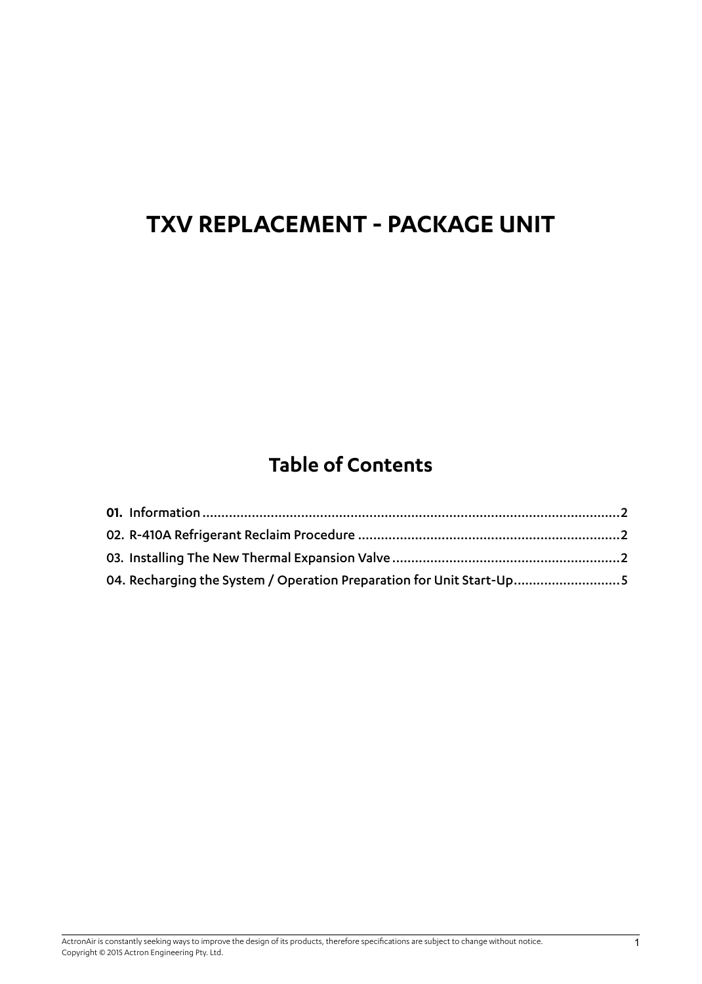## **Table of Contents**

| 04. Recharging the System / Operation Preparation for Unit Start-Up5 |  |
|----------------------------------------------------------------------|--|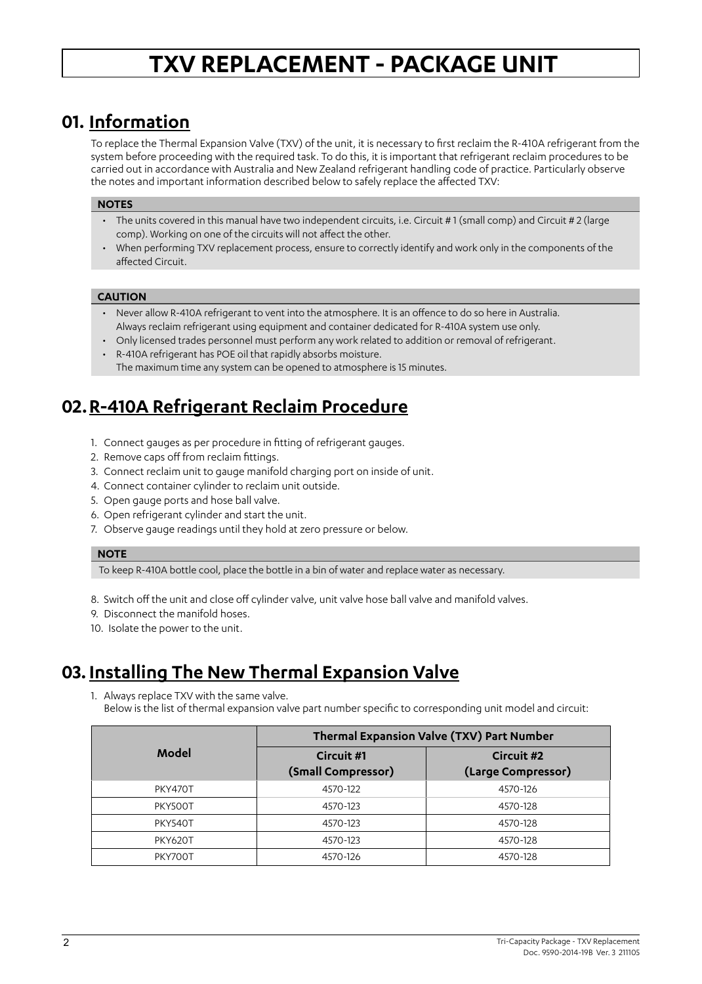### <span id="page-1-0"></span>**01. Information**

To replace the Thermal Expansion Valve (TXV) of the unit, it is necessary to first reclaim the R-410A refrigerant from the system before proceeding with the required task. To do this, it is important that refrigerant reclaim procedures to be carried out in accordance with Australia and New Zealand refrigerant handling code of practice. Particularly observe the notes and important information described below to safely replace the affected TXV:

#### **NOTES**

- The units covered in this manual have two independent circuits, i.e. Circuit #1 (small comp) and Circuit #2 (large comp). Working on one of the circuits will not affect the other.
- When performing TXV replacement process, ensure to correctly identify and work only in the components of the affected Circuit.

#### **CAUTION**

- Never allow R-410A refrigerant to vent into the atmosphere. It is an offence to do so here in Australia. Always reclaim refrigerant using equipment and container dedicated for R-410A system use only.
- Only licensed trades personnel must perform any work related to addition or removal of refrigerant.
- R-410A refrigerant has POE oil that rapidly absorbs moisture. The maximum time any system can be opened to atmosphere is 15 minutes.

## **02.R-410A Refrigerant Reclaim Procedure**

- 1. Connect gauges as per procedure in fitting of refrigerant gauges.
- 2. Remove caps off from reclaim fittings.
- 3. Connect reclaim unit to gauge manifold charging port on inside of unit.
- 4. Connect container cylinder to reclaim unit outside.
- 5. Open gauge ports and hose ball valve.
- 6. Open refrigerant cylinder and start the unit.
- 7. Observe gauge readings until they hold at zero pressure or below.

#### **NOTE**

To keep R-410A bottle cool, place the bottle in a bin of water and replace water as necessary.

- 8. Switch off the unit and close off cylinder valve, unit valve hose ball valve and manifold valves.
- 9. Disconnect the manifold hoses.
- 10. Isolate the power to the unit.

## **03. Installing The New Thermal Expansion Valve**

1. Always replace TXV with the same valve.

Below is the list of thermal expansion valve part number specific to corresponding unit model and circuit:

|                | Thermal Expansion Valve (TXV) Part Number |                                  |  |
|----------------|-------------------------------------------|----------------------------------|--|
| Model          | Circuit #1<br>(Small Compressor)          | Circuit #2<br>(Large Compressor) |  |
| PKY470T        | 4570-122                                  | 4570-126                         |  |
| PKY500T        | 4570-123                                  | 4570-128                         |  |
| PKY540T        | 4570-123                                  | 4570-128                         |  |
| <b>PKY620T</b> | 4570-123                                  | 4570-128                         |  |
| PKY700T        | 4570-126                                  | 4570-128                         |  |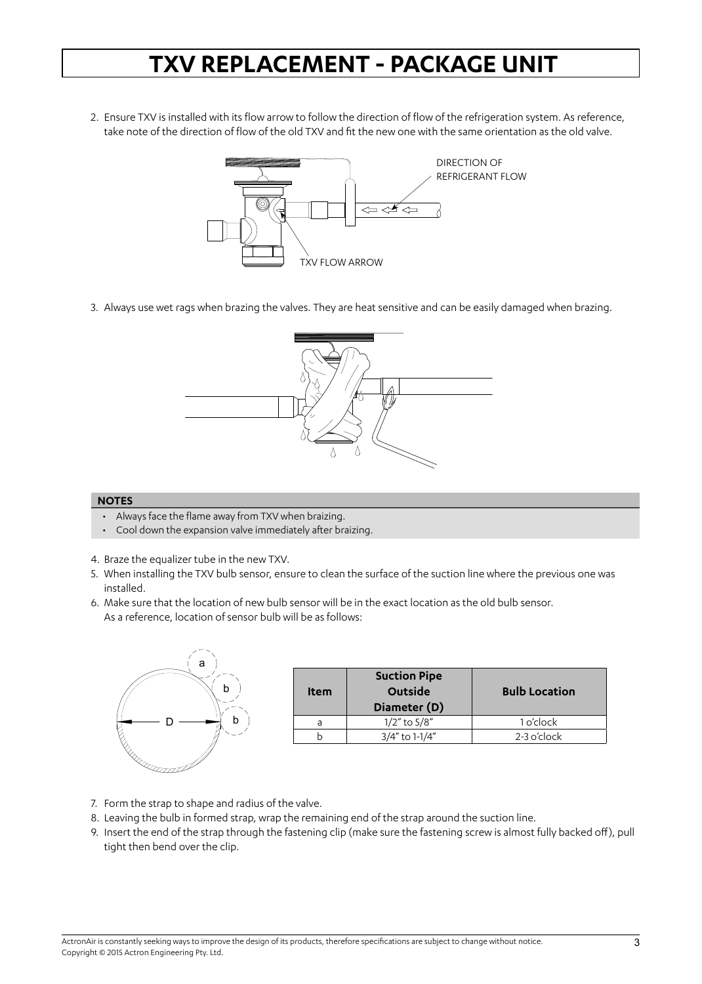2. Ensure TXV is installed with its flow arrow to follow the direction of flow of the refrigeration system. As reference, take note of the direction of flow of the old TXV and fit the new one with the same orientation as the old valve.



3. Always use wet rags when brazing the valves. They are heat sensitive and can be easily damaged when brazing.



#### **NOTES**

- Always face the flame away from TXV when braizing.
- Cool down the expansion valve immediately after braizing.
- 4. Braze the equalizer tube in the new TXV.
- 5. When installing the TXV bulb sensor, ensure to clean the surface of the suction line where the previous one was installed.
- 6. Make sure that the location of new bulb sensor will be in the exact location as the old bulb sensor. As a reference, location of sensor bulb will be as follows:



| <b>Item</b> | <b>Suction Pipe</b><br>Outside<br>Diameter (D) | <b>Bulb Location</b> |
|-------------|------------------------------------------------|----------------------|
|             | $1/2$ " to $5/8$ "                             | 1 o'clock            |
|             | 3/4" to 1-1/4"                                 | $2-3$ o'clock        |

- 7. Form the strap to shape and radius of the valve.
- 8. Leaving the bulb in formed strap, wrap the remaining end of the strap around the suction line.
- 9. Insert the end of the strap through the fastening clip (make sure the fastening screw is almost fully backed off), pull tight then bend over the clip.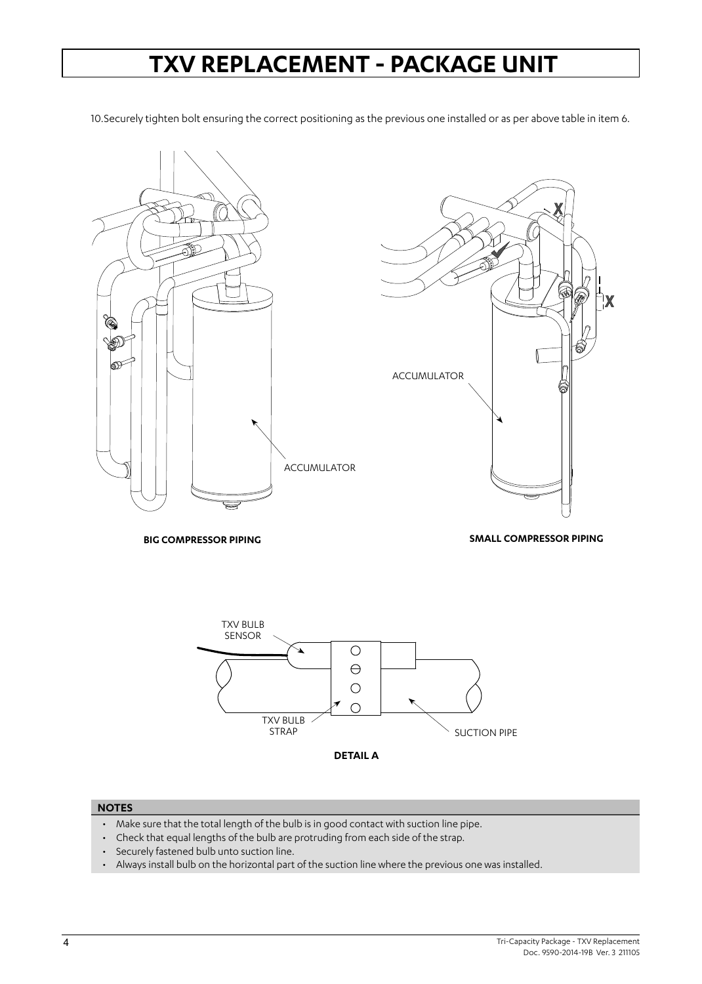10.Securely tighten bolt ensuring the correct positioning as the previous one installed or as per above table in item 6.





**BIG COMPRESSOR PIPING**

**SMALL COMPRESSOR PIPING**



#### **NOTES**

- Make sure that the total length of the bulb is in good contact with suction line pipe.
- Check that equal lengths of the bulb are protruding from each side of the strap.
- Securely fastened bulb unto suction line.
- Always install bulb on the horizontal part of the suction line where the previous one was installed.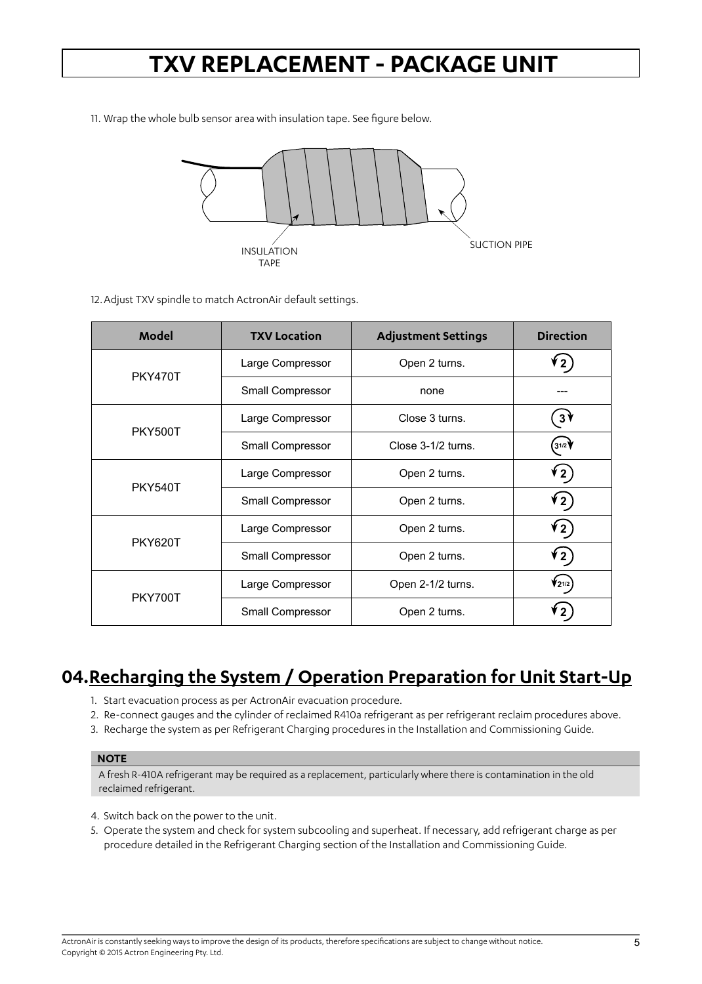<span id="page-4-0"></span>11. Wrap the whole bulb sensor area with insulation tape. See figure below.



12.Adjust TXV spindle to match ActronAir default settings.

| Model          | <b>TXV Location</b> | <b>Adjustment Settings</b> | <b>Direction</b> |
|----------------|---------------------|----------------------------|------------------|
| <b>PKY470T</b> | Large Compressor    | Open 2 turns.              | $\mathbf{z}$     |
|                | Small Compressor    | none                       |                  |
|                | Large Compressor    | Close 3 turns.             | $3\frac{1}{2}$   |
| <b>PKY500T</b> | Small Compressor    | Close 3-1/2 turns.         | 31/2             |
| <b>PKY540T</b> | Large Compressor    | Open 2 turns.              | ( 2 ≯            |
|                | Small Compressor    | Open 2 turns.              | ( 2 ≯            |
| <b>PKY620T</b> | Large Compressor    | Open 2 turns.              | (2)              |
|                | Small Compressor    | Open 2 turns.              | ( 2 ∲            |
| PKY700T        | Large Compressor    | Open 2-1/2 turns.          | $72^{1/2}$       |
|                | Small Compressor    | Open 2 turns.              |                  |

### **04.Recharging the System / Operation Preparation for Unit Start-Up**

- 1. Start evacuation process as per ActronAir evacuation procedure.
- 2. Re-connect gauges and the cylinder of reclaimed R410a refrigerant as per refrigerant reclaim procedures above.
- 3. Recharge the system as per Refrigerant Charging procedures in the Installation and Commissioning Guide.

#### **NOTE**

A fresh R-410A refrigerant may be required as a replacement, particularly where there is contamination in the old reclaimed refrigerant.

- 4. Switch back on the power to the unit.
- 5. Operate the system and check for system subcooling and superheat. If necessary, add refrigerant charge as per procedure detailed in the Refrigerant Charging section of the Installation and Commissioning Guide.